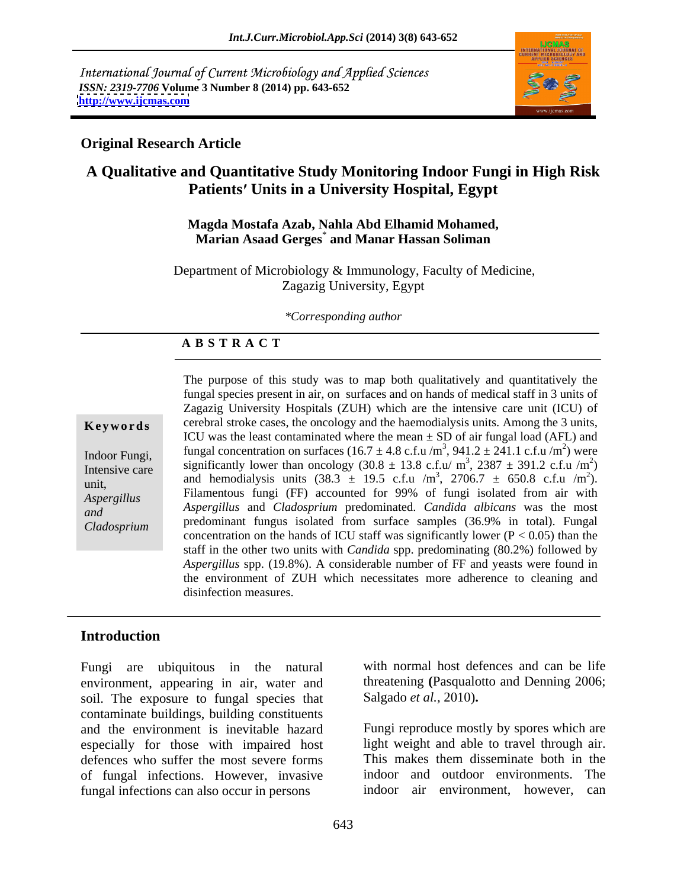International Journal of Current Microbiology and Applied Sciences *ISSN: 2319-7706* **Volume 3 Number 8 (2014) pp. 643-652 <http://www.ijcmas.com>**



### **Original Research Article**

# **A Qualitative and Quantitative Study Monitoring Indoor Fungi in High Risk Patients Units in a University Hospital, Egypt**

#### **Magda Mostafa Azab, Nahla Abd Elhamid Mohamed, Marian Asaad Gerges**\* **and Manar Hassan Soliman**

Department of Microbiology & Immunology, Faculty of Medicine, Zagazig University, Egypt

#### *\*Corresponding author*

#### **A B S T R A C T**

**Keywords** cerebral stroke cases, the oncology and the haemodialysis units. Among the 3 units, Indoor Fungi, tungai concentration on surfaces (10.7 ± 4.8 c.f.u /iii , 941.2 ± 241.1 c.f.u /iii) were Intensive care significantly lower than oncology  $(30.8 \pm 13.8 \text{ c.f.u/m}^3, 2387 \pm 391.2 \text{ c.f.u/m}^2)$ michsive care<br>
and hemodialysis units  $(38.3 \pm 19.5 \text{ c.f.u/m}^3, 2706.7 \pm 650.8 \text{ c.f.u/m}^2)$ . *Aspergillus* Filamentous fungi (FF) accounted for 99% of fungi isolated from air with *and Aspergillus* and *Cladosprium* predominated. *Candida albicans* was the most *Cladosprium* predominant fungus isolated from surface samples (36.9% in total). Fungal The purpose of this study was to map both qualitatively and quantitatively the fungal species present in air, on surfaces and on hands of medical staff in 3 units of Zagazig University Hospitals (ZUH) which are the intensive care unit (ICU) of ICU was the least contaminated where the mean  $\pm$  SD of air fungal load (AFL) and fungal concentration on surfaces (16.7  $\pm$  4.8 c.f.u /m<sup>3</sup>, 941.2  $\pm$  241.1 c.f.u /m<sup>2</sup>) were ) were ,  $2387 \pm 391.2$  c.f.u /m<sup>2</sup>)  $2\sqrt{2}$  $)$ ,  $2706.7 \pm 650.8 \text{ c.f.u } / \text{m}^2$ ).  $2\sqrt{2}$ and hemodialysis units  $(38.3 \pm 19.5 \text{ c.f.u/m}^3, 2706.7 \pm 650.8 \text{ c.f.u/m}^2)$ .<br>Filamentous fungi (FF) accounted for 99% of fungi isolated from air with concentration on the hands of ICU staff was significantly lower ( $P < 0.05$ ) than the staff in the other two units with *Candida* spp. predominating (80.2%) followed by *Aspergillus* spp. (19.8%). A considerable number of FF and yeasts were found in the environment of ZUH which necessitates more adherence to cleaning and disinfection measures.

### **Introduction**

Fungi are ubiquitous in the natural environment, appearing in air, water and soil. The exposure to fungal species that contaminate buildings, building constituents and the environment is inevitable hazard especially for those with impaired host defences who suffer the most severe forms This makes them disseminate both in the of fungal infections. However, invasive fungal infections can also occur in persons

with normal host defences and can be life threatening **(**Pasqualotto and Denning 2006; Salgado *et al.,* 2010)**.**

Fungi reproduce mostly by spores which are light weight and able to travel through air. indoor and outdoor environments. The indoor air environment, however,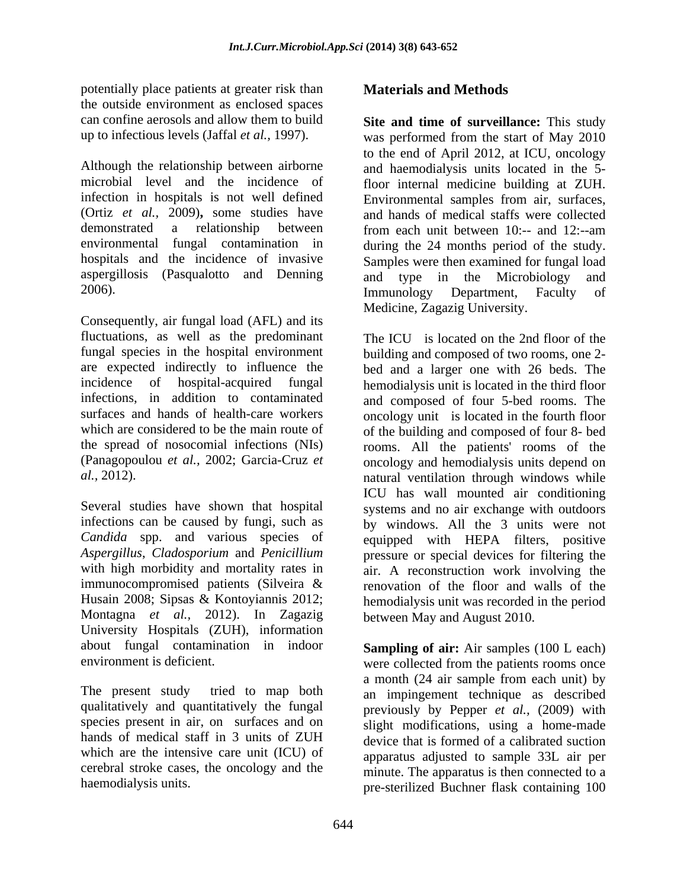potentially place patients at greater risk than the outside environment as enclosed spaces can confine aerosols and allow them to build **Site and time of surveillance:** This study

Although the relationship between airborne microbial level and the incidence of floor internal medicine building at ZUH. infection in hospitals is not well defined Environmental samples from air, surfaces, (Ortiz *et al.,* 2009)**,** some studies have demonstrated a relationship between from each unit between 10:-- and 12:--am environmental fungal contamination in during the 24 months period of the study. hospitals and the incidence of invasive Samples were then examined for fungal load aspergillosis (Pasqualotto and Denning and type in the Microbiology and 2006). Immunology Department, Faculty of

Consequently, air fungal load (AFL) and its fluctuations, as well as the predominant fungal species in the hospital environment

Several studies have shown that hospital Montagna *et al.,* 2012). In Zagazig University Hospitals (ZUH), information about fungal contamination in indoor **Sampling of air:** Air samples (100 L each)

species present in air, on surfaces and on hands of medical staff in 3 units of ZUH which are the intensive care unit (ICU) of cerebral stroke cases, the oncology and the

# **Materials and Methods**

up to infectious levels (Jaffal *et al.,* 1997). was performed from the start of May 2010 to the end of April 2012, at ICU, oncology and haemodialysis units located in the 5 and hands of medical staffs were collected and type in the Microbiology Immunology Department, Faculty of Medicine, Zagazig University.

are expected indirectly to influence the bed and a larger one with 26 beds. The incidence of hospital-acquired fungal hemodialysis unit is located in the third floor infections, in addition to contaminated and composed of four 5-bed rooms. The surfaces and hands of health-care workers oncology unit is located in the fourth floor which are considered to be the main route of of the building and composed of four 8- bed the spread of nosocomial infections (NIs) rooms. All the patients' rooms of the (Panagopoulou *et al.,* 2002; Garcia-Cruz *et*  oncology and hemodialysis units depend on *al.,* 2012). natural ventilation through windows while infections can be caused by fungi, such as by windows. All the 3 units were not *Candida* spp. and various species of equipped with HEPA filters, positive *Aspergillus*, *Cladosporium* and *Penicillium* pressure or special devices for filtering the with high morbidity and mortality rates in air. A reconstruction work involving the immunocompromised patients (Silveira & renovation of the floor and walls of the Husain 2008; Sipsas & Kontoyiannis 2012; hemodialysis unit was recorded in the period The ICU is located on the 2nd floor of the building and composed of two rooms, one 2- ICU has wall mounted air conditioning systems and no air exchange with outdoors between May and August 2010.

environment is deficient. were collected from the patients rooms once The present study tried to map both an impingement technique as described qualitatively and quantitatively the fungal previously by Pepper *et al.,* (2009) with haemodialysis units.<br>
pre-sterilized Buchner flask containing 100 a month (24 air sample from each unit) by slight modifications, using a home-made device that is formed of a calibrated suction apparatus adjusted to sample 33L air per minute. The apparatus is then connected to a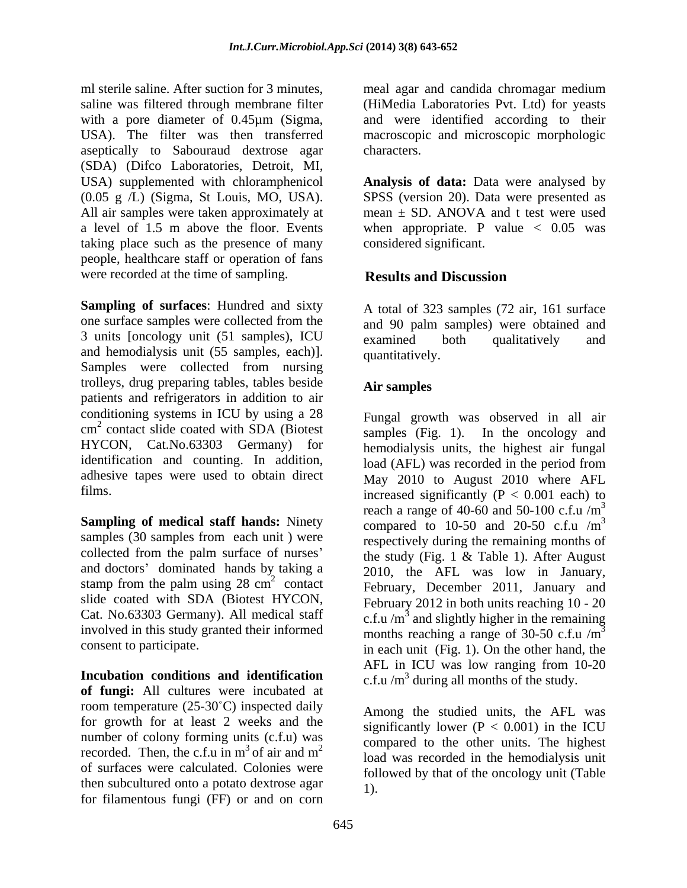USA). The filter was then transferred aseptically to Sabouraud dextrose agar characters. (SDA) (Difco Laboratories, Detroit, MI, USA) supplemented with chloramphenicol **Analysis of data:** Data were analysed by (0.05 g /L) (Sigma, St Louis, MO, USA). SPSS (version 20). Data were presented as All air samples were taken approximately at a level of 1.5 m above the floor. Events when appropriate. P value < 0.05 was taking place such as the presence of many people, healthcare staff or operation of fans were recorded at the time of sampling. **Results and Discussion** 

**Sampling of surfaces**: Hundred and sixty one surface samples were collected from the 3 units [oncology unit (51 samples), ICU examined both qualitatively and and hemodialysis unit (55 samples, each)]. Samples were collected from nursing trolleys, drug preparing tables, tables beside patients and refrigerators in addition to air conditioning systems in ICU by using a 28  $\text{cm}^2$  contact slide coated with SDA (Biotest) HYCON, Cat.No.63303 Germany) for identification and counting. In addition,  $\log(AFL)$  was recorded in the period from adhesive tapes were used to obtain direct

**Sampling of medical staff hands:** Ninety compared to 10-50 and 20-50 c.f.u /m<sup>3</sup> samples (30 samples from each unit ) were and doctors' dominated hands by taking a stamp from the palm using  $28 \text{ cm}^2$  contact involved in this study granted their informed

**Incubation conditions and identification of fungi:** All cultures were incubated at room temperature  $(25-30^{\circ}C)$  inspected daily for growth for at least 2 weeks and the number of colony forming units (c.f.u) was of surfaces were calculated. Colonies were then subcultured onto a potato dextrose agar for filamentous fungi (FF) or and on corn

ml sterile saline. After suction for 3 minutes, meal agar and candida chromagar medium saline was filtered through membrane filter (HiMedia Laboratories Pvt. Ltd) for yeasts with a pore diameter of 0.45µm (Sigma, and were identified according to their macroscopic and microscopic morphologic characters.

> mean  $\pm$  SD. ANOVA and t test were used considered significant.

# **Results and Discussion**

A total of 323 samples (72 air, 161 surface and 90 palm samples) were obtained and examined both qualitatively and quantitatively.

# **Air samples**

cm<sup>2</sup> contact slide coated with SDA (Biotest samples (Fig. 1). In the oncology and films.  $\frac{1}{2}$  increased significantly (P < 0.001 each) to collected from the palm surface of nurses' the study (Fig. 1  $\&$  Table 1). After August  $\frac{2010}{2010}$ , the THE was fow in standary, slide coated with SDA (Biotest HYCON, February 2012 in both units reaching 10 - 20 Cat. No.63303 Germany). All medical staff c.f.u /m<sup>3</sup> and slightly higher in the remaining consent to participate. in each unit (Fig. 1). On the other hand, the Fungal growth was observed in all air hemodialysis units, the highest air fungal load (AFL) was recorded in the period from May 2010 to August 2010 where AFL reach a range of 40-60 and 50-100 c.f.u  $/m<sup>3</sup>$ 3 compared to 10-50 and 20-50 c.f.u  $/m<sup>3</sup>$ 3 respectively during the remaining months of 2010, the AFL was low in January, months reaching a range of 30-50 c.f.u  $/m<sup>3</sup>$  $\overline{3}$ AFL in ICU was low ranging from 10-20 c.f.u  $/m<sup>3</sup>$  during all months of the study.

recorded. Then, the c.f.u in  $m^3$  of air and  $m^2$  and was recorded in the hemodialysis unit  $3$  of air and  $m^2$  and was recorded in the hemodialysis unit  $_2$  compared to the other times. The ingliest Among the studied units, the AFL was significantly lower ( $P < 0.001$ ) in the ICU compared to the other units. The highest load was recorded in the hemodialysis unit followed by that of the oncology unit (Table 1).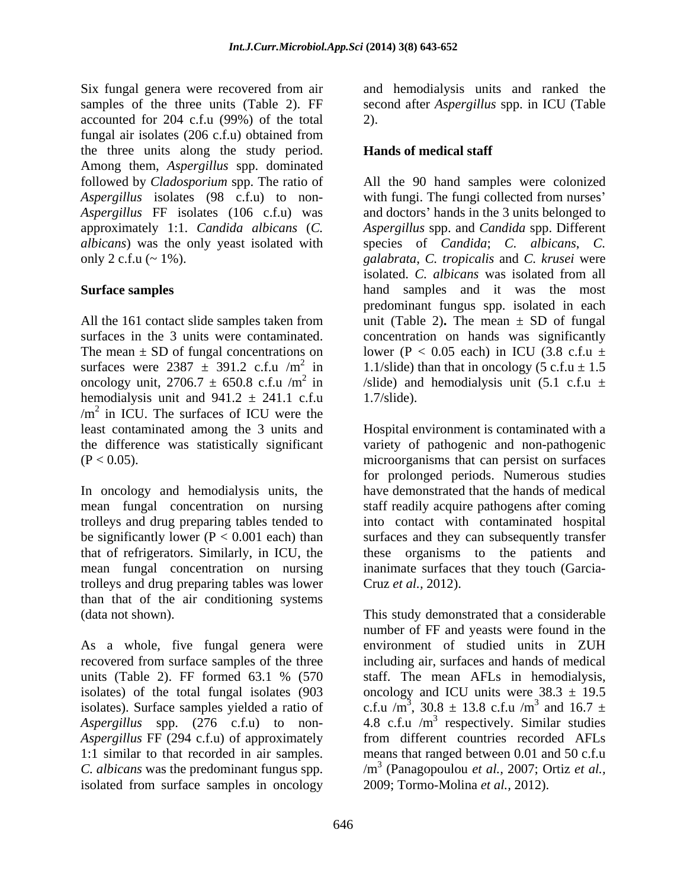Six fungal genera were recovered from air and hemodialysis units and ranked the samples of the three units (Table 2). FF second after *Aspergillus* spp. in ICU (Table accounted for 204 c.f.u (99%) of the total fungal air isolates (206 c.f.u) obtained from the three units along the study period. Among them, *Aspergillus* spp. dominated

The mean  $\pm$  SD of fungal concentrations on surfaces were  $2387 \pm 391.2$  c.f.u /m<sup>2</sup> in hemodialysis unit and  $941.2 \pm 241.1$  c.f.u 1.7/slide).  $/m<sup>2</sup>$  in ICU. The surfaces of ICU were the

trolleys and drug preparing tables tended to that of refrigerators. Similarly, in ICU, the mean fungal concentration on nursing trolleys and drug preparing tables was lower than that of the air conditioning systems

As a whole, five fungal genera were *Aspergillus* FF (294 c.f.u) of approximately isolated from surface samples in oncology

2).

## **Hands of medical staff**

followed by *Cladosporium* spp. The ratio of All the 90 hand samples were colonized *Aspergillus* isolates (98 c.f.u) to non- with fungi. The fungi collected from nurses Aspergillus FF isolates (106 c.f.u) was and doctors' hands in the 3 units belonged to approximately 1:1. *Candida albicans* (*C. Aspergillus* spp. and *Candida* spp. Different *albicans*) was the only yeast isolated with species of *Candida*; *C. albicans*, *C.*  only 2 c.f.u (~ 1%). *galabrata*, *C. tropicalis* and *C. krusei* were **Surface samples**  hand samples and it was the most All the 161 contact slide samples taken from unit (Table 2)**.** The mean ± SD of fungal surfaces in the 3 units were contaminated. concentration on hands was significantly <sup>2</sup> in 1.1/slide) than that in oncology (5 c.f.u  $\pm$  1.5 oncology unit, 2706.7  $\pm$  650.8 c.f.u /m<sup>2</sup> in /slide) and hemodialysis unit (5.1 c.f.u  $\pm$ isolated. *C. albicans* was isolated from all predominant fungus spp. isolated in each lower (P < 0.05 each) in ICU (3.8 c.f.u  $\pm$ 1.7/slide).

least contaminated among the 3 units and Hospital environment is contaminated with a the difference was statistically significant variety of pathogenic and non-pathogenic  $(P < 0.05)$ . microorganisms that can persist on surfaces In oncology and hemodialysis units, the have demonstrated that the hands of medical mean fungal concentration on nursing staff readily acquire pathogens after coming be significantly lower (P < 0.001 each) than surfaces and they can subsequently transfer for prolonged periods. Numerous studies into contact with contaminated hospital these organisms to the patients and inanimate surfaces that they touch (Garcia- Cruz *et al.,* 2012).

(data not shown). This study demonstrated that a considerable recovered from surface samples of the three including air, surfaces and hands of medical units (Table 2). FF formed 63.1 % (570 staff. The mean AFLs in hemodialysis, isolates) of the total fungal isolates  $(903 \qquad$  oncology and ICU units were  $38.3 \pm 19.5$ isolates). Surface samples yielded a ratio of c.f.u /m<sup>3</sup>, 30.8  $\pm$  13.8 c.f.u /m<sup>3</sup> and 16.7  $\pm$ Aspergillus spp.  $(276 \text{ c.f.u})$  to non- 4.8 c.f.u /m<sup>3</sup> respectively. Similar studies 1:1 similar to that recorded in air samples. means that ranged between 0.01 and 50 c.f.u *C. albicans* was the predominant fungus spp.  $/m^3$  (Panagopoulou *et al., 2007; Ortiz et al.,* number of FF and yeasts were found in the environment of studied units in ZUH , 30.8  $\pm$  13.8 c.f.u /m<sup>3</sup> and 16.7  $\pm$  $3$  and  $167$ and  $16.7 \pm$ from different countries recorded AFLs 2009; Tormo-Molina *et al.,* 2012).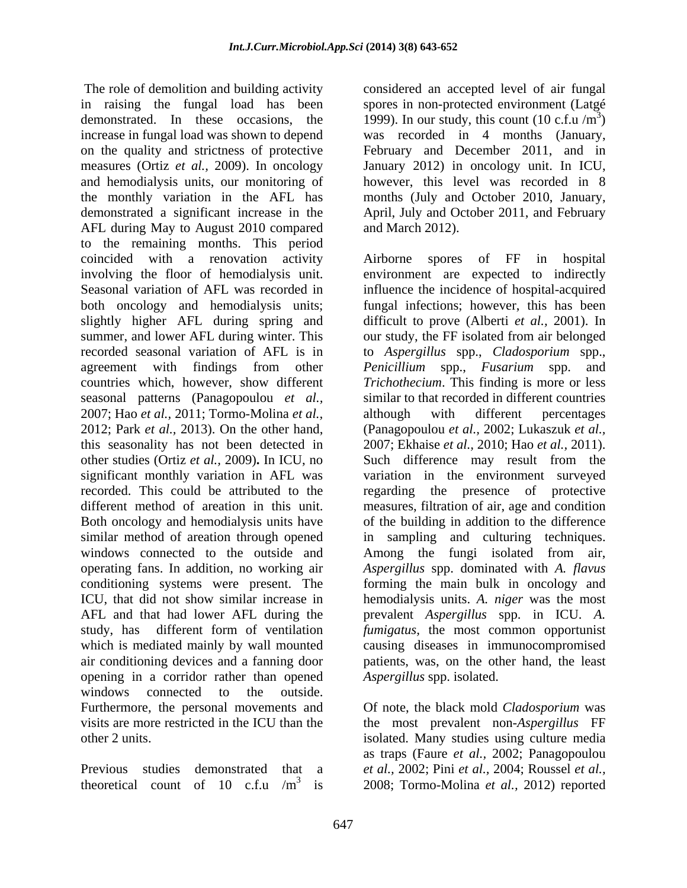The role of demolition and building activity considered an accepted level of air fungal in raising the fungal load has been spores in non-protected environment (Latgé demonstrated. In these occasions, the 1999). In our study, this count  $(10 \text{ c.f.u/m}^3)$ increase in fungal load was shown to depend was recorded in 4 months (January, on the quality and strictness of protective measures (Ortiz *et al.,* 2009). In oncology January 2012) in oncology unit. In ICU, and hemodialysis units, our monitoring of however, this level was recorded in 8 the monthly variation in the AFL has demonstrated a significant increase in the April, July and October 2011, and February AFL during May to August 2010 compared to the remaining months. This period coincided with a renovation activity Airborne spores of FF in hospital both oncology and hemodialysis units; seasonal patterns (Panagopoulou *et al.,* 2007; Hao *et al.,* 2011; Tormo-Molina *et al.,*  significant monthly variation in AFL was Both oncology and hemodialysis units have operating fans. In addition, no working air *Aspergillus* spp. dominated with A. *flavus* conditioning systems were present. The forming the main bulk in oncology and air conditioning devices and a fanning door opening in a corridor rather than opened windows connected to the outside. Furthermore, the personal movements and Of note, the black mold *Cladosporium* was visits are more restricted in the ICU than the the most prevalent non-*Aspergillus* FF

theoretical count of 10 c.f.u /m 3 is 2008; Tormo-Molina *et al.,* 2012) reported

1999). In our study, this count  $(10 \text{ c.f.u/m}^3)$  $3<sub>1</sub>$  $)$ February and December 2011, and in months (July and October 2010, January, and March 2012).

involving the floor of hemodialysis unit. environment are expected to indirectly Seasonal variation of AFL was recorded in influence the incidence of hospital-acquired slightly higher AFL during spring and difficult to prove (Alberti *et al.,* 2001).In summer, and lower AFL during winter. This our study, the FF isolated from air belonged recorded seasonal variation of AFL is in to *Aspergillus* spp., *Cladosporium* spp., agreement with findings from other *Penicillium* spp., *Fusarium* spp. and countries which, however, show different *Trichothecium*. This finding is more or less 2012; Park *et al.,* 2013). On the other hand, (Panagopoulou *et al.,* 2002; Lukaszuk *et al.,* this seasonality has not been detected in 2007; Ekhaise *et al.,* 2010; Hao *et al.,* 2011). other studies (Ortiz *et al.,* 2009)**.** In ICU, no Such difference may result from the recorded. This could be attributed to the regarding the presence of protective different method of areation in this unit. measures, filtration of air, age and condition similar method of areation through opened in sampling and culturing techniques. windows connected to the outside and Among the fungi isolated from air, ICU, that did not show similar increase in hemodialysis units. *A. niger* was the most AFL and that had lower AFL during the prevalent *Aspergillus* spp. in ICU. *A.*  study, has different form of ventilation *fumigatus,* the most common opportunist which is mediated mainly by wall mounted causing diseases in immunocompromised Airborne spores of FF in hospital fungal infections; however, this has been *Penicillium* spp., *Fusarium* spp. and similar to that recorded in different countries although with different percentages variation in the environment surveyed of the building in addition to the difference *Aspergillus* spp. dominated with *A. flavus* forming the main bulk in oncology and patients, was, on the other hand, the least *Aspergillus* spp. isolated.

other 2 units. isolated. Many studies using culture media Previous studies demonstrated that a *et al.,* 2002; Pini *et al.,* 2004; Roussel *et al.,* as traps (Faure *et al.,* 2002; Panagopoulou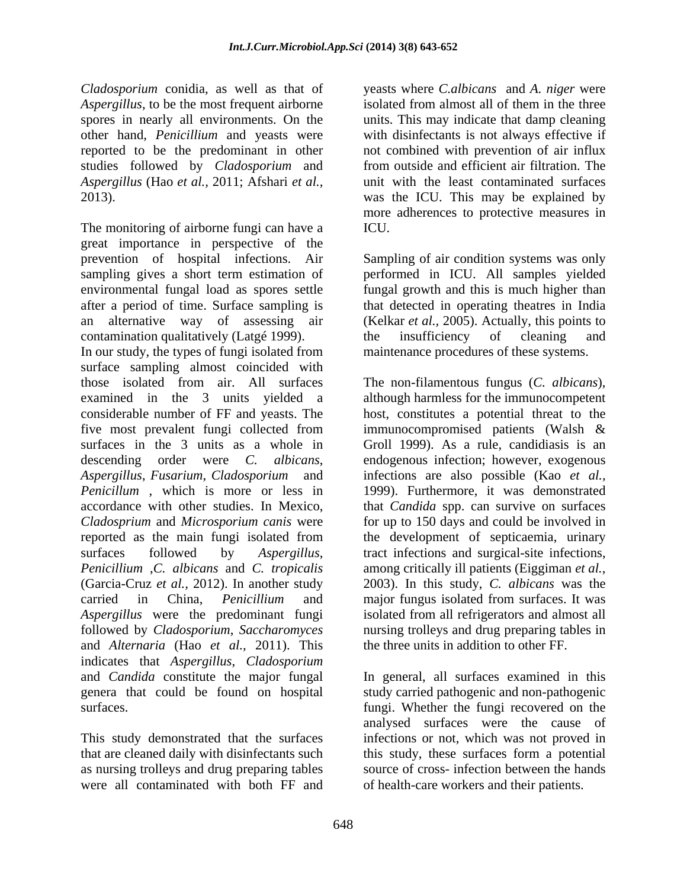*Cladosporium* conidia, as well as that of yeasts where *C.albicans* and *A. niger* were Aspergillus, to be the most frequent airborne isolated from almost all of them in the three spores in nearly all environments. On the units. This may indicate that damp cleaning other hand, *Penicillium* and yeasts were with disinfectants is not always effective if reported to be the predominant in other not combined with prevention of air influx studies followed by *Cladosporium* and *Aspergillus* (Hao *et al.,* 2011; Afshari *et al.,* unit with the least contaminated surfaces 2013). was the ICU. This may be explained by

The monitoring of airborne fungi can have a ICU. great importance in perspective of the prevention of hospital infections. Air Sampling of air condition systems was only sampling gives a short term estimation of performed in ICU. All samples yielded environmental fungal load as spores settle fungal growth and this is much higher than after a period of time. Surface sampling is that detected in operating theatres in India an alternative way of assessing air (Kelkar *et al.,* 2005). Actually, this points to contamination qualitatively (Latgé 1999). In our study, the types of fungi isolated from surface sampling almost coincided with those isolated from air. All surfaces The non-filamentous fungus (*C. albicans*), examined in the 3 units yielded a although harmless for the immunocompetent considerable number of FF and yeasts. The host, constitutes a potential threat to the five most prevalent fungi collected from immunocompromised patients (Walsh & surfaces in the 3 units as a whole in Groll 1999). As a rule, candidiasis is an descending order were *C. albicans*, endogenous infection; however, exogenous *Aspergillus*, *Fusarium*, *Cladosporium* and infections are also possible (Kao *et al., Penicillum* , which is more or less in 1999). Furthermore, it was demonstrated accordance with other studies. In Mexico, that *Candida* spp. can survive on surfaces *Cladosprium* and *Microsporium canis* were for up to 150 days and could be involved in reported as the main fungi isolated from the development of septicaemia, urinary surfaces followed by *Aspergillus*, tract infections and surgical-site infections, *Penicillium* ,*C. albicans* and *C. tropicalis* among critically ill patients (Eiggiman *et al.,*  (Garcia-Cruz *et al.,* 2012). In another study 2003). In this study, *C. albicans* was the carried in China, *Penicillium* and major fungus isolated from surfaces. It was Aspergillus were the predominant fungi isolated from all refrigerators and almost all followed by *Cladosporium*, *Saccharomyces* nursing trolleys and drug preparing tables in and *Alternaria* (Hao *et al.,* 2011). This indicates that *Aspergillus*, *Cladosporium* and *Candida* constitute the major fungal In general, all surfaces examined in this genera that could be found on hospital study carried pathogenic and non-pathogenic

This study demonstrated that the surfaces were all contaminated with both FF and

from outside and efficient air filtration. The more adherences to protective measures in ICU.

the insufficiency of cleaning and maintenance procedures of these systems.

immunocompromised patients (Walsh & the three units in addition to other FF.

surfaces. fungi. Whether the fungi recovered on the that are cleaned daily with disinfectants such this study, these surfaces form a potential as nursing trolleys and drug preparing tables source of cross- infection between the hands analysed surfaces were the cause of infections or not, which was not proved in of health-care workers and their patients.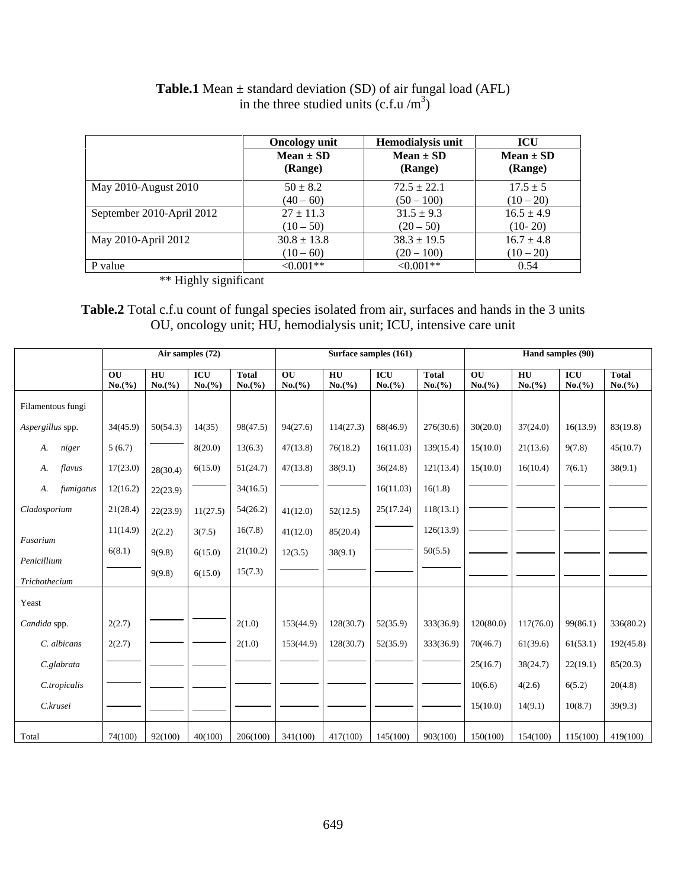|                           | <b>Oncology</b> unit | <b>Hemodialysis unit</b> | <b>ICU</b>     |  |
|---------------------------|----------------------|--------------------------|----------------|--|
|                           | $Mean \pm SD$        | $Mean \pm SD$            | $Mean \pm SD$  |  |
|                           | (Range)              | (Range)                  | (Range)        |  |
| May 2010-August 2010      | $50 \pm 8.2$         | $72.5 \pm 22.1$          | $17.5 \pm 5$   |  |
|                           | $(40 - 60)$          | $(50 - 100)$             | $(10-20)$      |  |
| September 2010-April 2012 | $27 \pm 11.3$        | $31.5 \pm 9.3$           | $16.5 \pm 4.9$ |  |
|                           | $(10 - 50)$          | $(20 - 50)$              | $(10-20)$      |  |
| May 2010-April 2012       | $30.8 \pm 13.8$      | $38.3 \pm 19.5$          | $16.7 \pm 4.8$ |  |
|                           | $(10-60)$            | $(20 - 100)$             | $(10-20)$      |  |
| P value                   | ${<}0.001**$         | $\leq 0.001**$           | 0.54           |  |

#### **Table.1** Mean ± standard deviation (SD) of air fungal load (AFL) in the three studied units  $(c.f.u/m^3)$ ) and the contract of  $\mathcal{L}$

\*\* Highly significant

## **Table.2** Total c.f.u count of fungal species isolated from air, surfaces and hands in the 3 units OU, oncology unit; HU, hemodialysis unit; ICU, intensive care unit

| Filamentous fungi<br>Aspergillus spp.<br>A. niger | 5(6.7)                                    |                                   |                              |                                                                                           |                                   |                                     |                                                                                                                                                                                              |        |                  |                                                                                                                                             |
|---------------------------------------------------|-------------------------------------------|-----------------------------------|------------------------------|-------------------------------------------------------------------------------------------|-----------------------------------|-------------------------------------|----------------------------------------------------------------------------------------------------------------------------------------------------------------------------------------------|--------|------------------|---------------------------------------------------------------------------------------------------------------------------------------------|
|                                                   |                                           |                                   |                              |                                                                                           |                                   |                                     |                                                                                                                                                                                              |        |                  |                                                                                                                                             |
|                                                   |                                           |                                   |                              |                                                                                           |                                   |                                     |                                                                                                                                                                                              |        |                  |                                                                                                                                             |
|                                                   |                                           |                                   |                              |                                                                                           |                                   |                                     | $34(45.9)$ $50(54.3)$ $14(35)$ $98(47.5)$ $94(27.6)$ $114(27.3)$ $68(46.9)$ $276(30.6)$ $30(20.0)$ $37(24.0)$ $16(13.9)$ $83(19.8)$                                                          |        |                  |                                                                                                                                             |
|                                                   |                                           |                                   |                              |                                                                                           |                                   |                                     |                                                                                                                                                                                              |        |                  |                                                                                                                                             |
| A. flavus                                         |                                           |                                   |                              |                                                                                           |                                   |                                     | $17(23.0)$ $28(30.4)$ 6(15.0) 51(24.7) 47(13.8) 38(9.1) 36(24.8) 121(13.4) 15(10.0) 16(10.4) 7(6.1) 38(9.1)                                                                                  |        |                  |                                                                                                                                             |
|                                                   | A. fumigatus 12(16.2) 22(23.9) $\boxed{}$ |                                   |                              | 34(16.5)                                                                                  | and the state of the state of the | $\sim$ 16(11.03) 16(1.8)            |                                                                                                                                                                                              |        |                  |                                                                                                                                             |
| Cladosporium                                      |                                           |                                   |                              | $21(28.4)$ $22(23.9)$ $11(27.5)$ $54(26.2)$ $41(12.0)$ $52(12.5)$ $25(17.24)$ $118(13.1)$ |                                   |                                     |                                                                                                                                                                                              |        |                  |                                                                                                                                             |
| Fusarium                                          |                                           |                                   |                              | $11(14.9)$ $2(2.2)$ $3(7.5)$ $16(7.8)$ $41(12.0)$ $85(20.4)$                              |                                   |                                     | 126(13.9)                                                                                                                                                                                    |        |                  |                                                                                                                                             |
| Penicillium                                       |                                           |                                   |                              | 6(8.1) $9(9.8)$ 6(15.0) 21(10.2) 12(3.5) 38(9.1)                                          |                                   | $\sim$ 50(5.5)                      |                                                                                                                                                                                              |        |                  |                                                                                                                                             |
| Trichothecium                                     |                                           |                                   | $9(9.8)$ $6(15.0)$ $15(7.3)$ |                                                                                           |                                   | and the contract of the contract of |                                                                                                                                                                                              |        |                  |                                                                                                                                             |
| Yeast                                             |                                           |                                   |                              |                                                                                           |                                   |                                     |                                                                                                                                                                                              |        |                  |                                                                                                                                             |
| Candida spp.                                      | 2(2.7)                                    | $\overline{\phantom{a}}$          |                              | 2(1.0)                                                                                    |                                   |                                     |                                                                                                                                                                                              |        |                  | $\mid$ 153(44.9) $\mid$ 128(30.7) $\mid$ 52(35.9) $\mid$ 333(36.9) $\mid$ 120(80.0) $\mid$ 117(76.0) $\mid$ 99(86.1) $\mid$ 336(80.2)       |
| C. albicans                                       | 2(2.7)                                    |                                   |                              | 2(1.0)                                                                                    |                                   |                                     |                                                                                                                                                                                              |        |                  | $\vert$ 153(44.9) $\vert$ 128(30.7) $\vert$ 52(35.9) $\vert$ 333(36.9) $\vert$ 70(46.7) $\vert$ 61(39.6) $\vert$ 61(53.1) $\vert$ 192(45.8) |
| C.glabrata                                        |                                           |                                   |                              |                                                                                           |                                   |                                     | $25(16.7)$ $38(24.7)$ $22(19.1)$ $85(20.3)$                                                                                                                                                  |        |                  |                                                                                                                                             |
| C.tropicalis                                      |                                           |                                   |                              |                                                                                           |                                   |                                     | 10(6.6)                                                                                                                                                                                      | 4(2.6) | $6(5.2)$ 20(4.8) |                                                                                                                                             |
| C.krusei                                          |                                           | the control of the control of the |                              |                                                                                           |                                   |                                     | $\longrightarrow$ 15(10.0) 14(9.1) 10(8.7) 39(9.3)                                                                                                                                           |        |                  |                                                                                                                                             |
| Total                                             |                                           |                                   |                              |                                                                                           |                                   |                                     | $\mid$ 74(100) $\mid$ 92(100) $\mid$ 40(100) $\mid$ 206(100) $\mid$ 341(100) $\mid$ 417(100) $\mid$ 145(100) $\mid$ 903(100) $\mid$ 150(100) $\mid$ 154(100) $\mid$ 115(100) $\mid$ 419(100) |        |                  |                                                                                                                                             |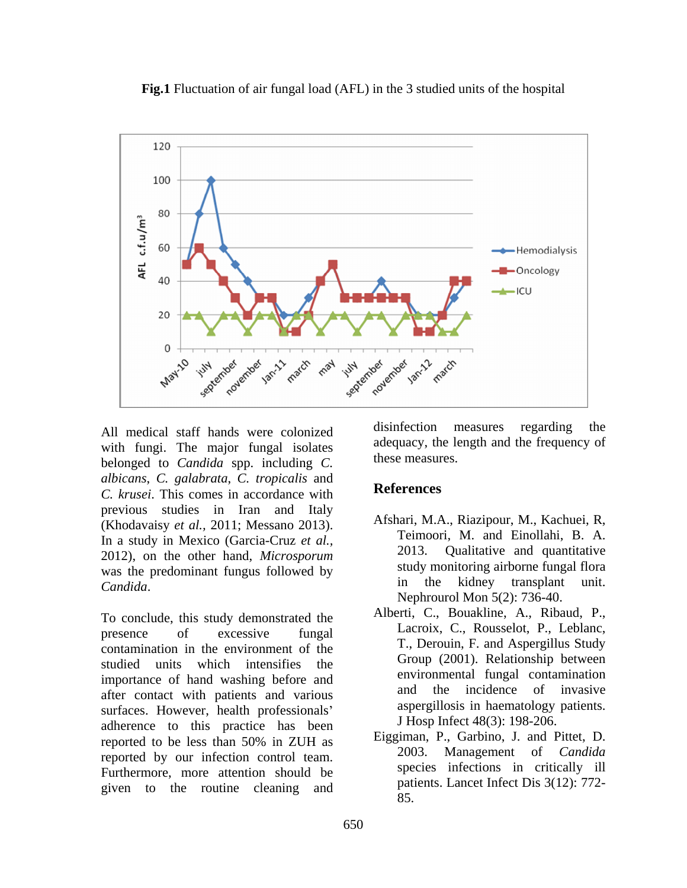**Fig.1** Fluctuation of air fungal load (AFL) in the 3 studied units of the hospital



with fungi. The major fungal isolates belonged to *Candida* spp. including *C. albicans*, *C. galabrata*, *C. tropicalis* and *C. krusei*. This comes in accordance with previous studies in Iran and Italy (Khodavaisy *et al.,* 2011; Messano 2013). In a study in Mexico (Garcia-Cruz *et al.,* 2012), on the other hand, *Microsporum* was the predominant fungus followed by study monitoring airborne rungal flora<br>in the kidney transplant unit.

presence of excessive fungal Lacroix, C., Rousselot, P., Leolanc, contamination in the environment of the studied units which intensifies the importance of hand washing before and<br>of the incidence of invasive and the incidence of invasive after contact with patients and various surfaces. However, health professionals' adherence to this practice has been reported to be less than 50% in ZUH as  $\frac{E1}{}_{2000}$  Figure 2002. The state is a set of set in the set of set in the set of set in the set of set in the set of set in the set of set in the set of set in the set of set i reported by our infection control team. Furthermore, more attention should be given to the routine cleaning and

All medical staff hands were colonized disinfection measures regarding the disinfection measures regarding the adequacy, the length and the frequency of these measures.

# **References**

- *Candida*.<br>
To conclude, this study demonstrated the Alberti, C., Bouakline, A., Ribaud, P., Afshari, M.A., Riazipour, M., Kachuei, R, Teimoori, M. and Einollahi, B. A. 2013. Qualitative and quantitative study monitoring airborne fungal flora in the kidney transplant Nephrourol Mon 5(2): 736-40.
	- Alberti, C., Bouakline, A., Ribaud, P., Lacroix, C., Rousselot, P., Leblanc, T., Derouin, F. and Aspergillus Study Group (2001). Relationship between environmental fungal contamination and the incidence of invasive aspergillosis in haematology patients. J Hosp Infect 48(3): 198-206.
	- Eiggiman, P., Garbino, J. and Pittet, D. 2003. Management of *Candida* species infections in critically ill patients. Lancet Infect Dis 3(12): 772- 85.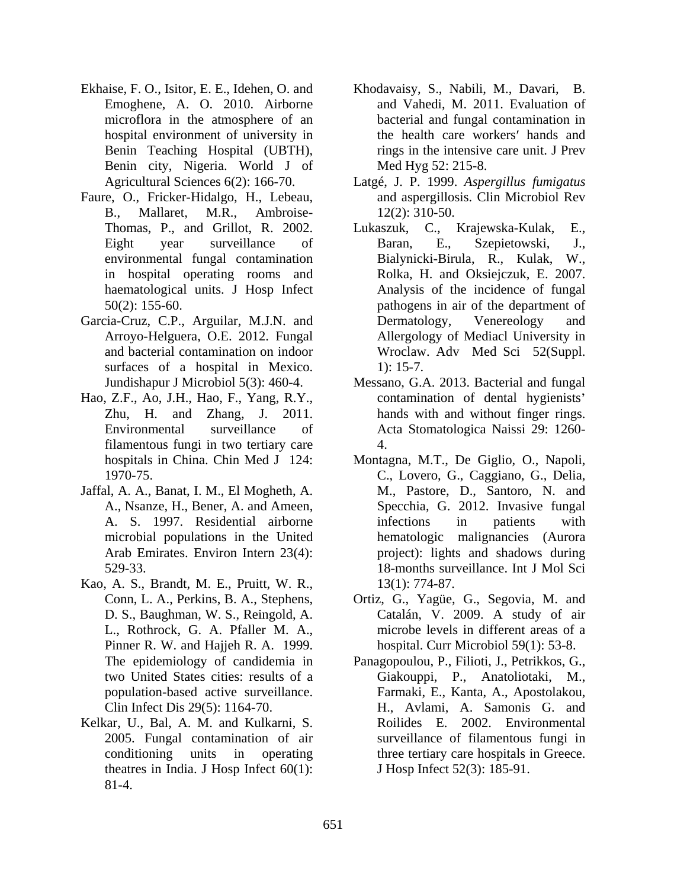- Ekhaise, F. O., Isitor, E. E., Idehen, O. and Khodavaisy, S., Nabili, M., Davari, B. Emoghene, A. O. 2010. Airborne microflora in the atmosphere of an Benin city, Nigeria. World J of
- Faure, O., Fricker-Hidalgo, H., Lebeau, in hospital operating rooms and haematological units. J Hosp Infect
- Garcia-Cruz, C.P., Arguilar, M.J.N. and Dermatology, Venereology and surfaces of a hospital in Mexico. 1): 15-7.
- Hao, Z.F., Ao, J.H., Hao, F., Yang, R.Y., filamentous fungi in two tertiary care
- Jaffal, A. A., Banat, I. M., El Mogheth, A.
- Kao, A. S., Brandt, M. E., Pruitt, W. R., Pinner R. W. and Hajjeh R. A. 1999.
- Kelkar, U., Bal, A. M. and Kulkarni, S. theatres in India. J Hosp Infect  $60(1)$ : 81-4.
- hospital environment of university in the health care workers' hands and Benin Teaching Hospital (UBTH), rings in the intensive care unit. J Prev Khodavaisy, S., Nabili, M., Davari, and Vahedi, M. 2011. Evaluation of bacterial and fungal contamination in Med Hyg 52: 215-8.
- Agricultural Sciences 6(2): 166-70. Latgé, J. P. 1999. *Aspergillus fumigatus* B., Mallaret, M.R., Ambroise and aspergillosis. Clin Microbiol Rev 12(2): 310-50.
- Thomas, P., and Grillot, R. 2002. Lukaszuk, C., Krajewska-Kulak, E., Eight year surveillance of Baran, E., Szepietowski, J., environmental fungal contamination Bialynicki-Birula, R., Kulak, W., 50(2): 155-60. pathogens in air of the department of Arroyo-Helguera, O.E. 2012. Fungal Allergology of Mediacl University in and bacterial contamination on indoor Wroclaw. Adv Med Sci 52(Suppl. Baran, E., Szepietowski, J., Bialynicki-Birula, R., Kulak, Rolka, H. and Oksiejczuk, E. 2007. Analysis of the incidence of fungal Dermatology, Venereology and 1): 15-7.
- Jundishapur J Microbiol 5(3): 460-4. Messano, G.A. 2013. Bacterial and fungal Zhu, H. and Zhang, J. 2011. hands with and without finger rings. Environmental surveillance of Acta Stomatologica Naissi 29: 1260 contamination of dental hygienists 4.
- hospitals in China. Chin Med J 124: Montagna, M.T., De Giglio, O., Napoli, 1970-75. C., Lovero, G., Caggiano, G., Delia, A., Nsanze, H., Bener, A. and Ameen, Specchia, G. 2012. Invasive fungal A. S. 1997. Residential airborne microbial populations in the United hematologic malignancies (Aurora Arab Emirates. Environ Intern 23(4): project): lights and shadows during 529-33. 18-months surveillance. Int J Mol Sci M., Pastore, D., Santoro, N. and infections in patients with 13(1): 774-87.
- Conn, L. A., Perkins, B. A., Stephens, Ortiz, G., Yagüe, G., Segovia, M. and D. S., Baughman, W. S., Reingold, A. L., Rothrock, G. A. Pfaller M. A., microbe levels in different areas of a Catalán, V. 2009. A study of air hospital. Curr Microbiol 59(1): 53-8.
- The epidemiology of candidemia in Panagopoulou, P., Filioti, J., Petrikkos, G., two United States cities: results of a population-based active surveillance. Farmaki, E., Kanta, A., Apostolakou, Clin Infect Dis 29(5): 1164-70. H., Avlami, A. Samonis G. and 2005. Fungal contamination of air surveillance of filamentous fungi in conditioning units in operating three tertiary care hospitals in Greece. Giakouppi, P., Anatoliotaki, Roilides E. 2002. Environmental J Hosp Infect 52(3): 185-91.